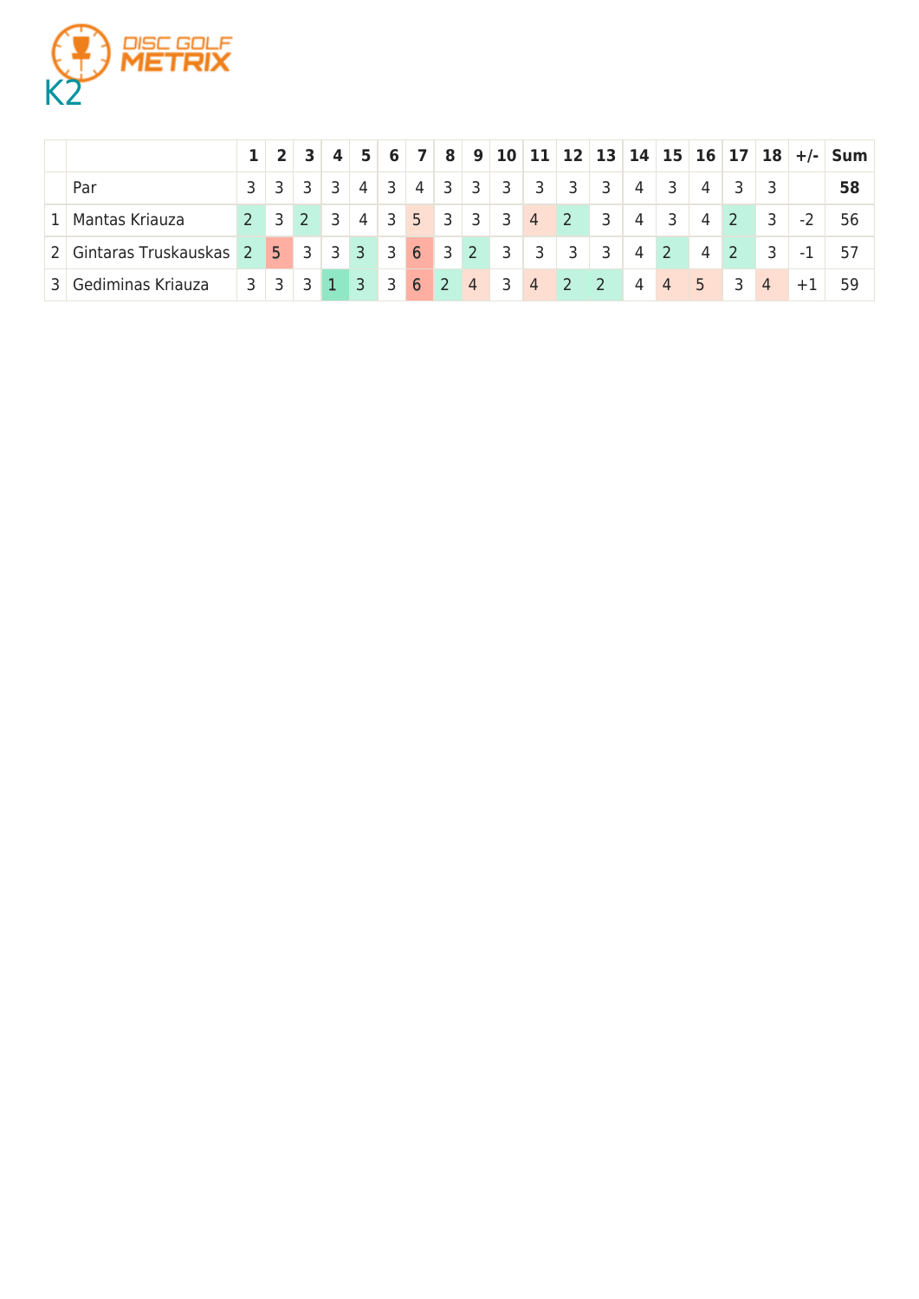

|                |                                                            |                 | $2 \mid 3 \mid$                        | $\overline{4}$ | $\overline{5}$ |                         |                                      |            |                 |                |                         |                         |                         |                |                         |                |                |                |      | 6 7 8 9 10 11 12 13 14 15 16 17 18 +/- Sum |
|----------------|------------------------------------------------------------|-----------------|----------------------------------------|----------------|----------------|-------------------------|--------------------------------------|------------|-----------------|----------------|-------------------------|-------------------------|-------------------------|----------------|-------------------------|----------------|----------------|----------------|------|--------------------------------------------|
|                | Par                                                        | $3 \mid 3 \mid$ | $3 \mid 3$                             |                | $4 \mid$       | $\overline{\mathbf{3}}$ |                                      | $4 \mid 3$ | 13 <sub>1</sub> | $\overline{3}$ | $\overline{\mathbf{3}}$ | 3                       | 3                       | $\overline{4}$ | - 3                     | 4              |                |                |      | 58                                         |
| 1 <sup>1</sup> | Mantas Kriauza                                             |                 | $2 \mid 3 \mid 2 \mid 3 \mid$          |                |                |                         | $4 \mid 3 \mid 5 \mid 3 \mid 3 \mid$ |            |                 |                | $3 \quad 4 \quad 2$     |                         | $\overline{3}$          | $\overline{4}$ | $\overline{\mathbf{3}}$ | 4              | 2 <sup>1</sup> | $\overline{3}$ | $-2$ | 56                                         |
|                | 2   Gintaras Truskauskas 2   5   3   3   3   3   6   3   2 |                 |                                        |                |                |                         |                                      |            |                 |                | $3 \mid 3 \mid$         | $\overline{\mathbf{3}}$ | $\overline{\mathbf{3}}$ | $\overline{4}$ | $\sqrt{2}$              | 4              | $2^{\circ}$    | $\overline{3}$ | $-1$ |                                            |
| $\overline{3}$ | Gediminas Kriauza                                          |                 | $3 \mid 3 \mid 3 \mid 1 \mid 3 \mid 3$ |                |                |                         | $6 \mid 2$                           |            | $\overline{4}$  | $3 \quad 4$    |                         | $\sim$ 2                | $\vert$ 2               | 4              | $\sqrt{4}$              | $\overline{5}$ | - 3            | $\overline{4}$ |      | 59                                         |